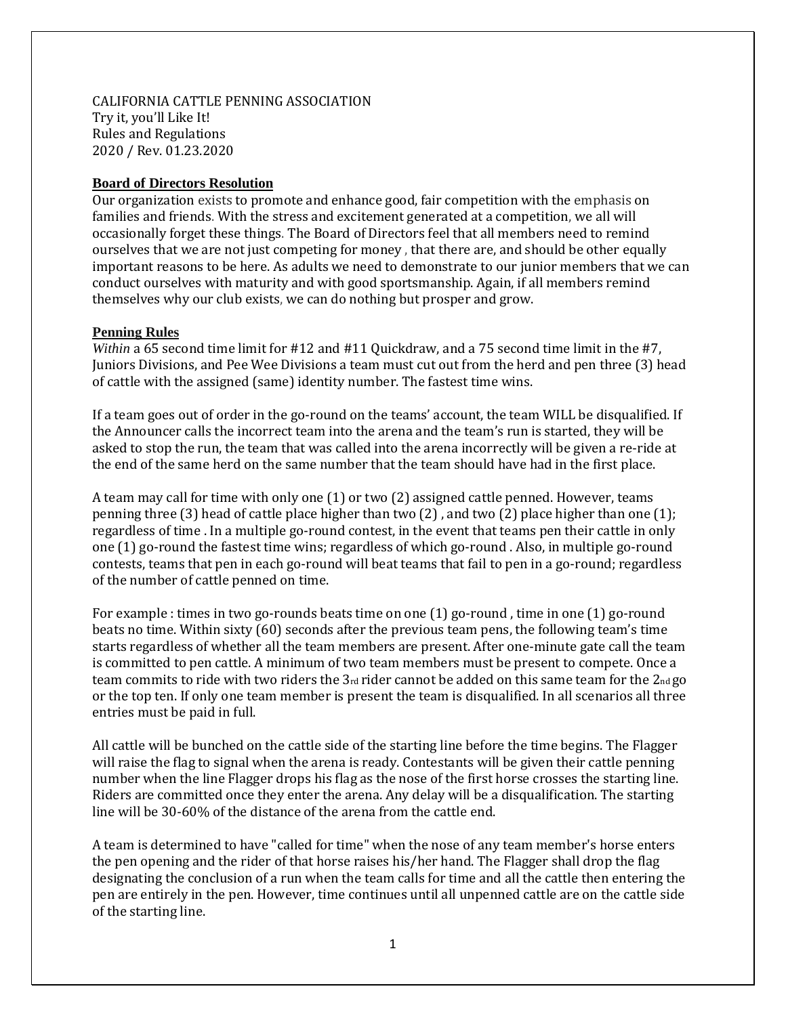### CALIFORNIA CATTLE PENNING ASSOCIATION Try it, you'll Like It! Rules and Regulations 2020 / Rev. 01.23.2020

## **Board of Directors Resolution**

Our organization exists to promote and enhance good, fair competition with the emphasis on families and friends. With the stress and excitement generated at a competition, we all will occasionally forget these things. The Board of Directors feel that all members need to remind ourselves that we are not just competing for money , that there are, and should be other equally important reasons to be here. As adults we need to demonstrate to our junior members that we can conduct ourselves with maturity and with good sportsmanship. Again, if all members remind themselves why our club exists, we can do nothing but prosper and grow.

#### **Penning Rules**

*Within* a 65 second time limit for #12 and #11 Quickdraw, and a 75 second time limit in the #7, Juniors Divisions, and Pee Wee Divisions a team must cut out from the herd and pen three (3) head of cattle with the assigned (same) identity number. The fastest time wins.

If a team goes out of order in the go-round on the teams' account, the team WILL be disqualified. If the Announcer calls the incorrect team into the arena and the team's run is started, they will be asked to stop the run, the team that was called into the arena incorrectly will be given a re‐ride at the end of the same herd on the same number that the team should have had in the first place.

A team may call for time with only one (1) or two (2) assigned cattle penned. However, teams penning three (3) head of cattle place higher than two (2) , and two (2) place higher than one (1); regardless of time. In a multiple go-round contest, in the event that teams pen their cattle in only one (1) go-round the fastest time wins; regardless of which go-round . Also, in multiple go-round contests, teams that pen in each go-round will beat teams that fail to pen in a go-round; regardless of the number of cattle penned on time.

For example : times in two go-rounds beats time on one (1) go-round, time in one (1) go-round beats no time. Within sixty (60) seconds after the previous team pens, the following team's time starts regardless of whether all the team members are present. After one‐minute gate call the team is committed to pen cattle. A minimum of two team members must be present to compete. Once a team commits to ride with two riders the 3rd rider cannot be added on this same team for the  $2<sub>nd</sub>$  go or the top ten. If only one team member is present the team is disqualified. In all scenarios all three entries must be paid in full.

All cattle will be bunched on the cattle side of the starting line before the time begins. The Flagger will raise the flag to signal when the arena is ready. Contestants will be given their cattle penning number when the line Flagger drops his flag as the nose of the first horse crosses the starting line. Riders are committed once they enter the arena. Any delay will be a disqualification. The starting line will be 30-60% of the distance of the arena from the cattle end.

A team is determined to have "called for time" when the nose of any team member's horse enters the pen opening and the rider of that horse raises his/her hand. The Flagger shall drop the flag designating the conclusion of a run when the team calls for time and all the cattle then entering the pen are entirely in the pen. However, time continues until all unpenned cattle are on the cattle side of the starting line.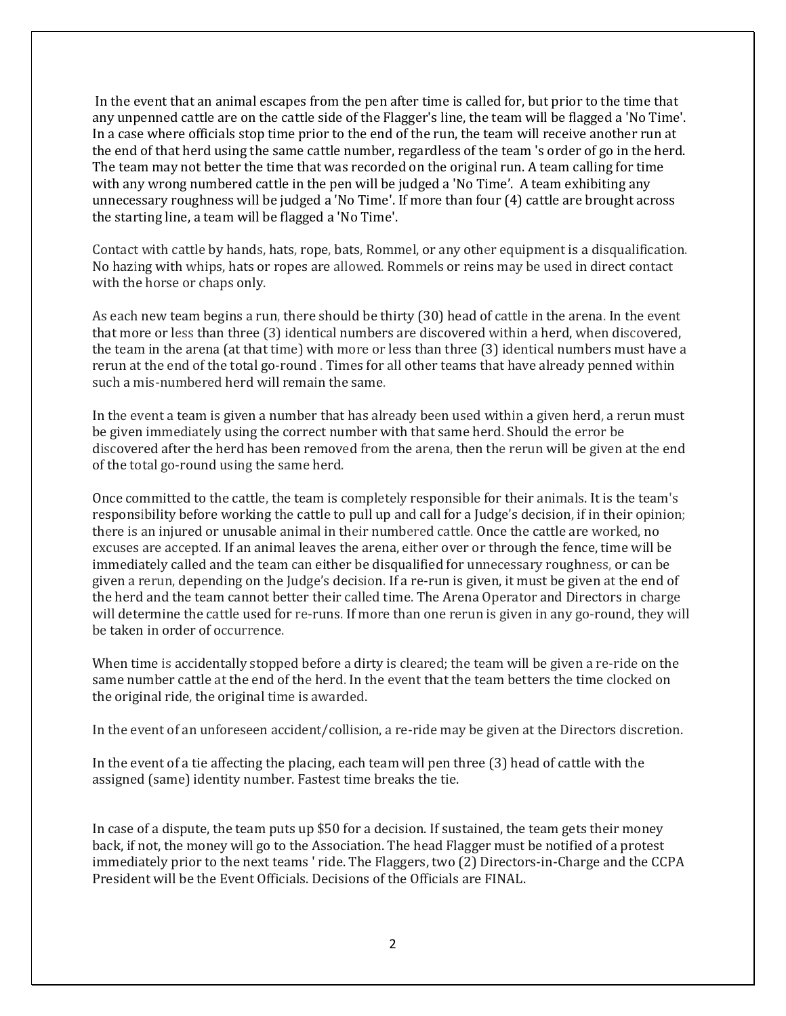In the event that an animal escapes from the pen after time is called for, but prior to the time that any unpenned cattle are on the cattle side of the Flagger's line, the team will be flagged a 'No Time'. In a case where officials stop time prior to the end of the run, the team will receive another run at the end of that herd using the same cattle number, regardless of the team 's order of go in the herd. The team may not better the time that was recorded on the original run. A team calling for time with any wrong numbered cattle in the pen will be judged a 'No Time'. A team exhibiting any unnecessary roughness will be judged a 'No Time'. If more than four (4) cattle are brought across the starting line, a team will be flagged a 'No Time'.

Contact with cattle by hands, hats, rope, bats, Rommel, or any other equipment is a disqualification. No hazing with whips, hats or ropes are allowed. Rommels or reins may be used in direct contact with the horse or chaps only.

As each new team begins a run, there should be thirty (30) head of cattle in the arena. In the event that more or less than three (3) identical numbers are discovered within a herd, when discovered, the team in the arena (at that time) with more or less than three (3) identical numbers must have a rerun at the end of the total go-round. Times for all other teams that have already penned within such a mis-numbered herd will remain the same.

In the event a team is given a number that has already been used within a given herd, a rerun must be given immediately using the correct number with that same herd. Should the error be discovered after the herd has been removed from the arena, then the rerun will be given at the end of the total go-round using the same herd.

Once committed to the cattle, the team is completely responsible for their animals. It is the team's responsibility before working the cattle to pull up and call for a Judge's decision, if in their opinion; there is an injured or unusable animal in their numbered cattle. Once the cattle are worked, no excuses are accepted. If an animal leaves the arena, either over or through the fence, time will be immediately called and the team can either be disqualified for unnecessary roughness, or can be given a rerun, depending on the Judge's decision. If a re‐run is given, it must be given at the end of the herd and the team cannot better their called time. The Arena Operator and Directors in charge will determine the cattle used for re-runs. If more than one rerun is given in any go-round, they will be taken in order of occurrence.

When time is accidentally stopped before a dirty is cleared; the team will be given a re-ride on the same number cattle at the end of the herd. In the event that the team betters the time clocked on the original ride, the original time is awarded.

In the event of an unforeseen accident/collision, a re-ride may be given at the Directors discretion.

In the event of a tie affecting the placing, each team will pen three (3) head of cattle with the assigned (same) identity number. Fastest time breaks the tie.

In case of a dispute, the team puts up \$50 for a decision. If sustained, the team gets their money back, if not, the money will go to the Association. The head Flagger must be notified of a protest immediately prior to the next teams ' ride. The Flaggers, two (2) Directors‐in‐Charge and the CCPA President will be the Event Officials. Decisions of the Officials are FINAL.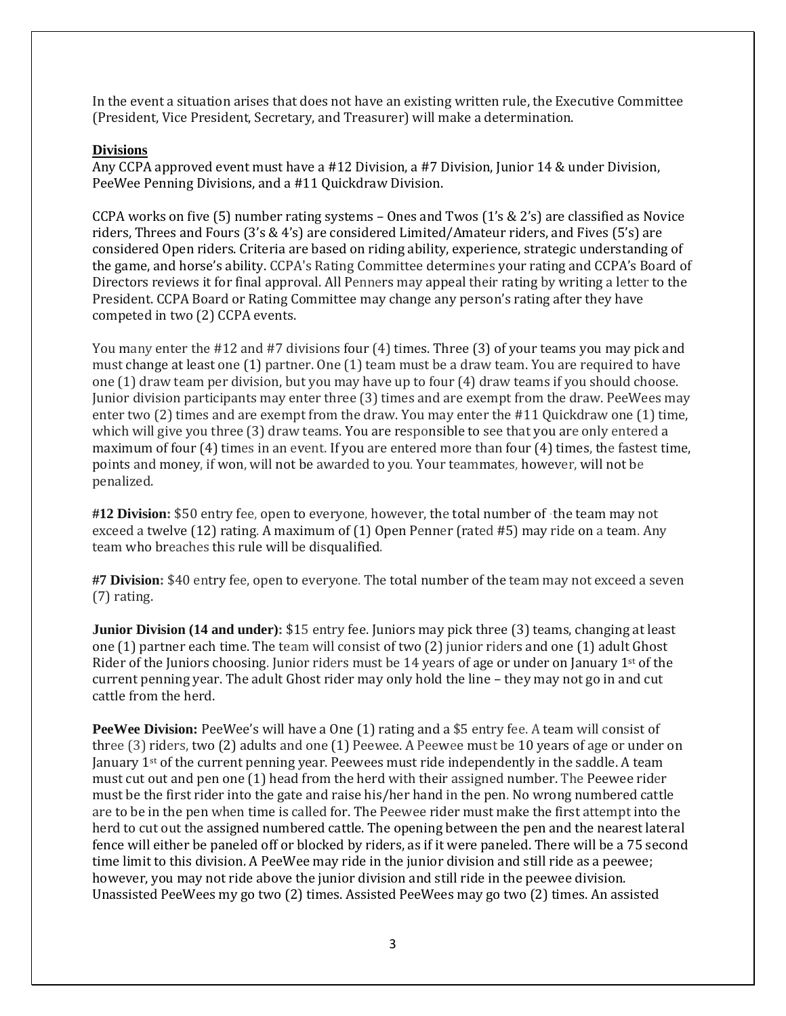In the event a situation arises that does not have an existing written rule, the Executive Committee (President, Vice President, Secretary, and Treasurer) will make a determination.

#### **Divisions**

Any CCPA approved event must have a #12 Division, a #7 Division, Junior 14 & under Division, PeeWee Penning Divisions, and a #11 Quickdraw Division.

CCPA works on five (5) number rating systems – Ones and Twos (1's & 2's) are classified as Novice riders, Threes and Fours (3's & 4's) are considered Limited/Amateur riders, and Fives (5's) are considered Open riders. Criteria are based on riding ability, experience, strategic understanding of the game, and horse's ability. CCPA's Rating Committee determines your rating and CCPA's Board of Directors reviews it for final approval. All Penners may appeal their rating by writing a letter to the President. CCPA Board or Rating Committee may change any person's rating after they have competed in two (2) CCPA events.

You many enter the #12 and #7 divisions four (4) times. Three (3) of your teams you may pick and must change at least one (1) partner. One (1) team must be a draw team. You are required to have one (1) draw team per division, but you may have up to four (4) draw teams if you should choose. Junior division participants may enter three (3) times and are exempt from the draw. PeeWees may enter two (2) times and are exempt from the draw. You may enter the #11 Quickdraw one (1) time, which will give you three (3) draw teams. You are responsible to see that you are only entered a maximum of four (4) times in an event. If you are entered more than four (4) times, the fastest time, points and money, if won, will not be awarded to you. Your teammates, however, will not be penalized.

**#12 Division:** \$50 entry fee, open to everyone, however, the total number of ·the team may not exceed a twelve (12) rating. A maximum of (1) Open Penner (rated #5) may ride on a team. Any team who breaches this rule will be disqualified.

**#7 Division:** \$40 entry fee, open to everyone. The total number of the team may not exceed a seven (7) rating.

**Junior Division (14 and under):** \$15 entry fee. Juniors may pick three (3) teams, changing at least one (1) partner each time. The team will consist of two (2) junior riders and one (1) adult Ghost Rider of the Juniors choosing. Junior riders must be 14 years of age or under on January 1st of the current penning year. The adult Ghost rider may only hold the line – they may not go in and cut cattle from the herd.

**PeeWee Division:** PeeWee's will have a One (1) rating and a \$5 entry fee. A team will consist of three (3) riders, two (2) adults and one (1) Peewee. A Peewee must be 10 years of age or under on January  $1<sup>st</sup>$  of the current penning year. Peewees must ride independently in the saddle. A team must cut out and pen one (1) head from the herd with their assigned number. The Peewee rider must be the first rider into the gate and raise his/her hand in the pen. No wrong numbered cattle are to be in the pen when time is called for. The Peewee rider must make the first attempt into the herd to cut out the assigned numbered cattle. The opening between the pen and the nearest lateral fence will either be paneled off or blocked by riders, as if it were paneled. There will be a 75 second time limit to this division. A PeeWee may ride in the junior division and still ride as a peewee; however, you may not ride above the junior division and still ride in the peewee division. Unassisted PeeWees my go two (2) times. Assisted PeeWees may go two (2) times. An assisted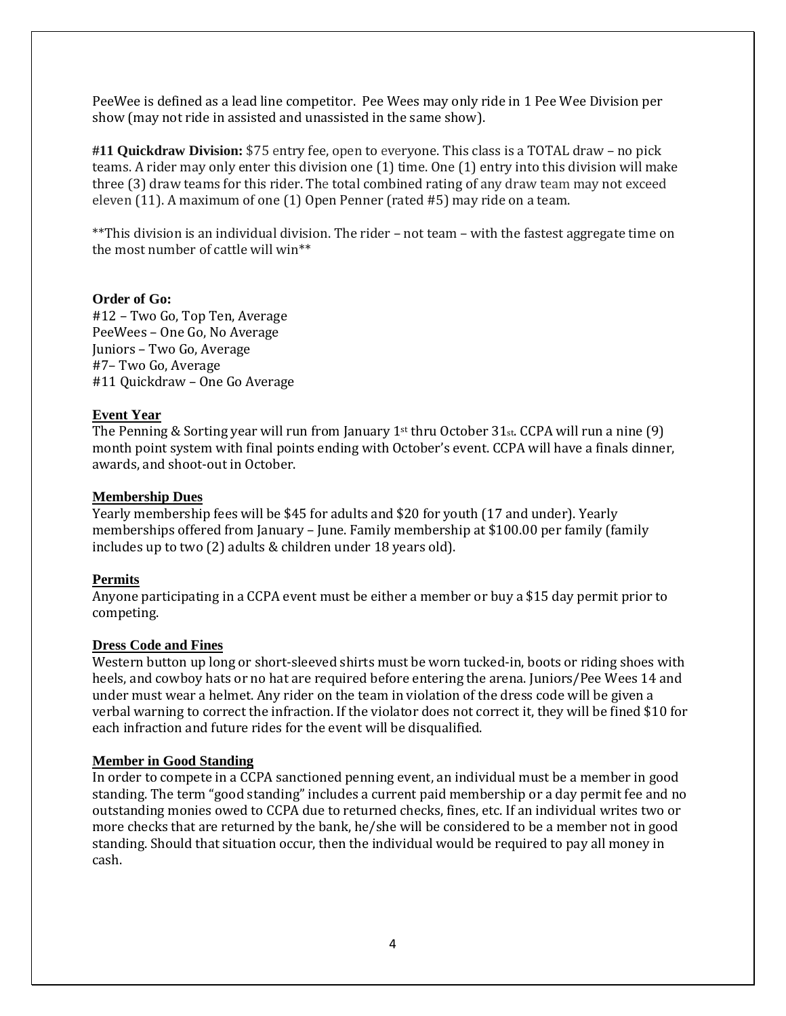PeeWee is defined as a lead line competitor. Pee Wees may only ride in 1 Pee Wee Division per show (may not ride in assisted and unassisted in the same show).

**#11 Quickdraw Division:** \$75 entry fee, open to everyone. This class is a TOTAL draw – no pick teams. A rider may only enter this division one (1) time. One (1) entry into this division will make three (3) draw teams for this rider. The total combined rating of any draw team may not exceed eleven (11). A maximum of one (1) Open Penner (rated #5) may ride on a team.

\*\*This division is an individual division. The rider – not team – with the fastest aggregate time on the most number of cattle will win\*\*

### **Order of Go:**

#12 – Two Go, Top Ten, Average PeeWees – One Go, No Average Juniors – Two Go, Average #7– Two Go, Average #11 Quickdraw – One Go Average

#### **Event Year**

The Penning & Sorting year will run from January 1st thru October 31st. CCPA will run a nine (9) month point system with final points ending with October's event. CCPA will have a finals dinner, awards, and shoot‐out in October.

#### **Membership Dues**

Yearly membership fees will be \$45 for adults and \$20 for youth (17 and under). Yearly memberships offered from January – June. Family membership at \$100.00 per family (family includes up to two (2) adults & children under 18 years old).

### **Permits**

Anyone participating in a CCPA event must be either a member or buy a \$15 day permit prior to competing.

# **Dress Code and Fines**

Western button up long or short-sleeved shirts must be worn tucked-in, boots or riding shoes with heels, and cowboy hats or no hat are required before entering the arena. Juniors/Pee Wees 14 and under must wear a helmet. Any rider on the team in violation of the dress code will be given a verbal warning to correct the infraction. If the violator does not correct it, they will be fined \$10 for each infraction and future rides for the event will be disqualified.

### **Member in Good Standing**

In order to compete in a CCPA sanctioned penning event, an individual must be a member in good standing. The term "good standing" includes a current paid membership or a day permit fee and no outstanding monies owed to CCPA due to returned checks, fines, etc. If an individual writes two or more checks that are returned by the bank, he/she will be considered to be a member not in good standing. Should that situation occur, then the individual would be required to pay all money in cash.